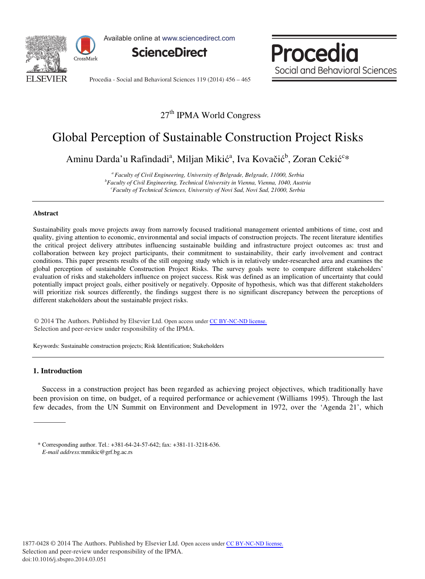

Available online at www.sciencedirect.com



Procedia Social and Behavioral Sciences

Procedia - Social and Behavioral Sciences 119 (2014) 456 - 465

### 27<sup>th</sup> IPMA World Congress

## Global Perception of Sustainable Construction Project Risks

Aminu Darda'u Rafindadi<sup>a</sup>, Miljan Mikić<sup>a</sup>, Iva Kovačić<sup>b</sup>, Zoran Cekić<sup>c</sup>\*

*<sup>a</sup> Faculty of Civil Engineering, University of Belgrade, Belgrade, 11000, Serbia b Faculty of Civil Engineering, Technical University in Vienna, Vienna, 1040, Austria c Faculty of Technical Sciences, University of Novi Sad, Novi Sad, 21000, Serbia* 

#### **Abstract**

Sustainability goals move projects away from narrowly focused traditional management oriented ambitions of time, cost and quality, giving attention to economic, environmental and social impacts of construction projects. The recent literature identifies the critical project delivery attributes influencing sustainable building and infrastructure project outcomes as: trust and collaboration between key project participants, their commitment to sustainability, their early involvement and contract conditions. This paper presents results of the still ongoing study which is in relatively under-researched area and examines the global perception of sustainable Construction Project Risks. The survey goals were to compare different stakeholders' evaluation of risks and stakeholders influence on project success. Risk was defined as an implication of uncertainty that could potentially impact project goals, either positively or negatively. Opposite of hypothesis, which was that different stakeholders will prioritize risk sources differently, the findings suggest there is no significant discrepancy between the perceptions of different stakeholders about the sustainable project risks.

© 2014 The Authors. Published by Elsevier Ltd. Open access under [CC BY-NC-ND license.](http://creativecommons.org/licenses/by-nc-nd/3.0/) Selection and peer-review under responsibility of the IPMA. Selection and peer-review under responsibility of the IPMA.

Keywords: Sustainable construction projects; Risk Identification; Stakeholders

#### **1. Introduction**

Success in a construction project has been regarded as achieving project objectives, which traditionally have been provision on time, on budget, of a required performance or achievement (Williams 1995). Through the last few decades, from the UN Summit on Environment and Development in 1972, over the 'Agenda 21', which

<sup>\*</sup> Corresponding author. Tel.: +381-64-24-57-642; fax: +381-11-3218-636. *E-mail address:*mmikic@grf.bg.ac.rs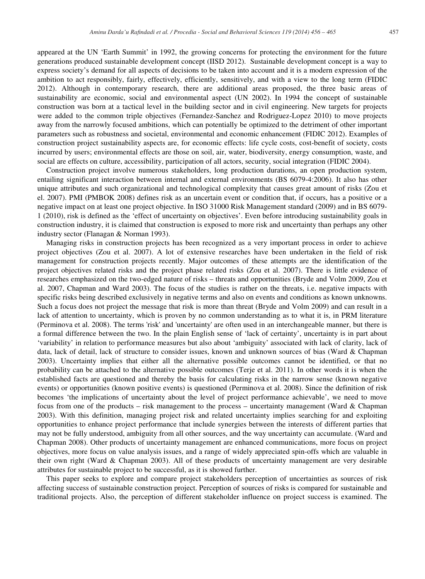appeared at the UN 'Earth Summit' in 1992, the growing concerns for protecting the environment for the future generations produced sustainable development concept (IISD 2012). Sustainable development concept is a way to express society's demand for all aspects of decisions to be taken into account and it is a modern expression of the ambition to act responsibly, fairly, effectively, efficiently, sensitively, and with a view to the long term (FIDIC 2012). Although in contemporary research, there are additional areas proposed, the three basic areas of sustainability are economic, social and environmental aspect (UN 2002). In 1994 the concept of sustainable construction was born at a tactical level in the building sector and in civil engineering. New targets for projects were added to the common triple objectives (Fernandez-Sanchez and Rodriguez-Lopez 2010) to move projects away from the narrowly focused ambitions, which can potentially be optimized to the detriment of other important parameters such as robustness and societal, environmental and economic enhancement (FIDIC 2012). Examples of construction project sustainability aspects are, for economic effects: life cycle costs, cost-benefit of society, costs incurred by users; environmental effects are those on soil, air, water, biodiversity, energy consumption, waste, and social are effects on culture, accessibility, participation of all actors, security, social integration (FIDIC 2004).

Construction project involve numerous stakeholders, long production durations, an open production system, entailing significant interaction between internal and external environments (BS 6079-4:2006). It also has other unique attributes and such organizational and technological complexity that causes great amount of risks (Zou et el. 2007). PMI (PMBOK 2008) defines risk as an uncertain event or condition that, if occurs, has a positive or a negative impact on at least one project objective. In ISO 31000 Risk Management standard (2009) and in BS 6079- 1 (2010), risk is defined as the 'effect of uncertainty on objectives'. Even before introducing sustainability goals in construction industry, it is claimed that construction is exposed to more risk and uncertainty than perhaps any other industry sector (Flanagan & Norman 1993).

Managing risks in construction projects has been recognized as a very important process in order to achieve project objectives (Zou et al. 2007). A lot of extensive researches have been undertaken in the field of risk management for construction projects recently. Major outcomes of these attempts are the identification of the project objectives related risks and the project phase related risks (Zou et al. 2007). There is little evidence of researches emphasized on the two-edged nature of risks – threats and opportunities (Bryde and Volm 2009, Zou et al. 2007, Chapman and Ward 2003). The focus of the studies is rather on the threats, i.e. negative impacts with specific risks being described exclusively in negative terms and also on events and conditions as known unknowns. Such a focus does not project the message that risk is more than threat (Bryde and Volm 2009) and can result in a lack of attention to uncertainty, which is proven by no common understanding as to what it is, in PRM literature (Perminova et al. 2008). The terms 'risk' and 'uncertainty' are often used in an interchangeable manner, but there is a formal difference between the two. In the plain English sense of 'lack of certainty', uncertainty is in part about 'variability' in relation to performance measures but also about 'ambiguity' associated with lack of clarity, lack of data, lack of detail, lack of structure to consider issues, known and unknown sources of bias (Ward & Chapman 2003). Uncertainty implies that either all the alternative possible outcomes cannot be identified, or that no probability can be attached to the alternative possible outcomes (Terje et al. 2011). In other words it is when the established facts are questioned and thereby the basis for calculating risks in the narrow sense (known negative events) or opportunities (known positive events) is questioned (Perminova et al. 2008). Since the definition of risk becomes 'the implications of uncertainty about the level of project performance achievable', we need to move focus from one of the products – risk management to the process – uncertainty management (Ward & Chapman 2003). With this definition, managing project risk and related uncertainty implies searching for and exploiting opportunities to enhance project performance that include synergies between the interests of different parties that may not be fully understood, ambiguity from all other sources, and the way uncertainty can accumulate. (Ward and Chapman 2008). Other products of uncertainty management are enhanced communications, more focus on project objectives, more focus on value analysis issues, and a range of widely appreciated spin-offs which are valuable in their own right (Ward & Chapman 2003). All of these products of uncertainty management are very desirable attributes for sustainable project to be successful, as it is showed further.

This paper seeks to explore and compare project stakeholders perception of uncertainties as sources of risk affecting success of sustainable construction project. Perception of sources of risks is compared for sustainable and traditional projects. Also, the perception of different stakeholder influence on project success is examined. The